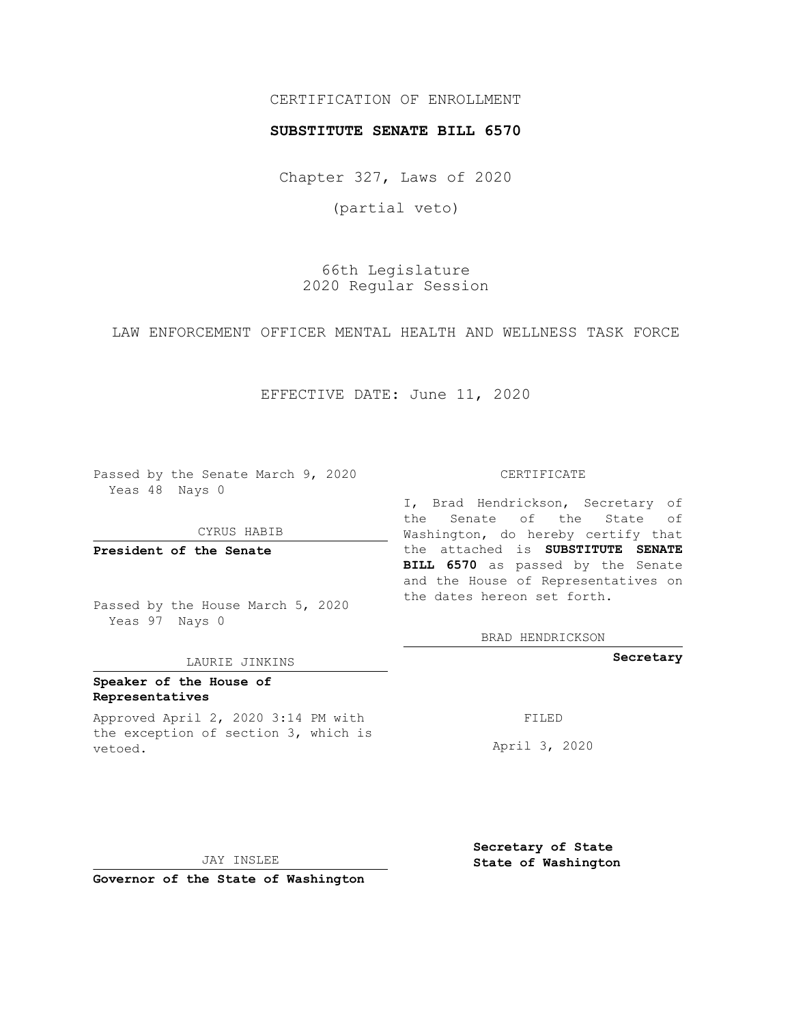## CERTIFICATION OF ENROLLMENT

### **SUBSTITUTE SENATE BILL 6570**

Chapter 327, Laws of 2020

(partial veto)

66th Legislature 2020 Regular Session

LAW ENFORCEMENT OFFICER MENTAL HEALTH AND WELLNESS TASK FORCE

EFFECTIVE DATE: June 11, 2020

Passed by the Senate March 9, 2020 Yeas 48 Nays 0

CYRUS HABIB

**President of the Senate**

Passed by the House March 5, 2020 Yeas 97 Nays 0

LAURIE JINKINS

## **Speaker of the House of Representatives**

Approved April 2, 2020 3:14 PM with the exception of section 3, which is vetoed.

#### CERTIFICATE

I, Brad Hendrickson, Secretary of the Senate of the State of Washington, do hereby certify that the attached is **SUBSTITUTE SENATE BILL 6570** as passed by the Senate and the House of Representatives on the dates hereon set forth.

BRAD HENDRICKSON

**Secretary**

FILED

April 3, 2020

**Secretary of State**

JAY INSLEE

 **State of Washington**

**Governor of the State of Washington**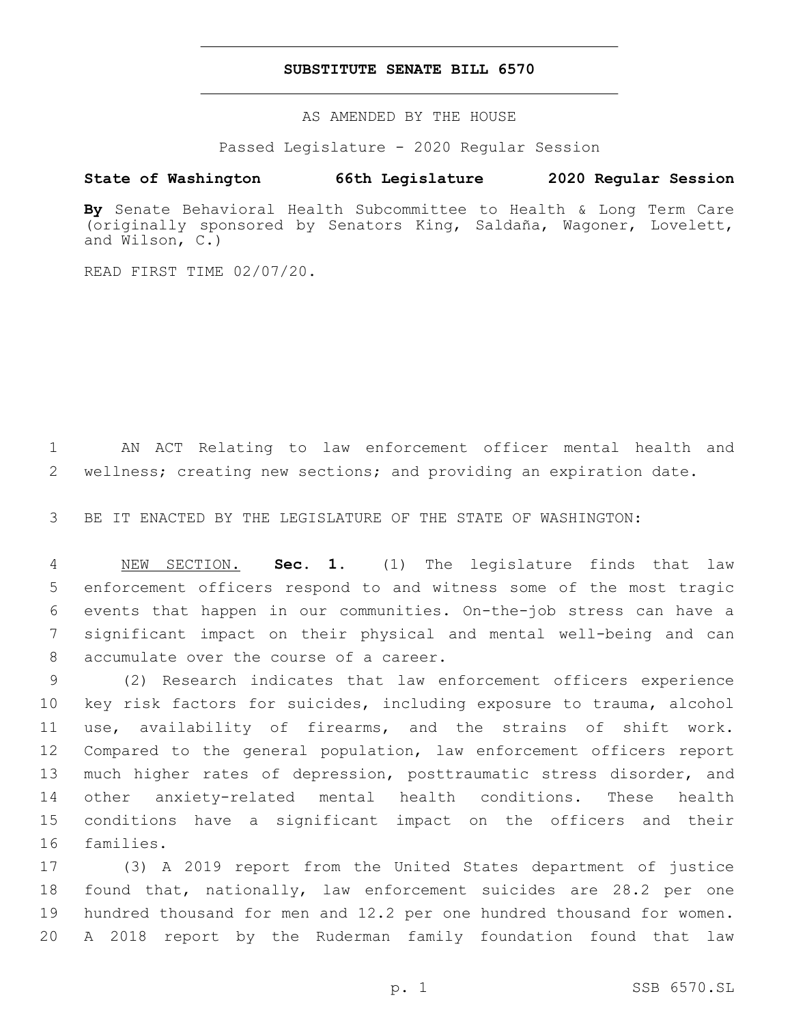### **SUBSTITUTE SENATE BILL 6570**

AS AMENDED BY THE HOUSE

Passed Legislature - 2020 Regular Session

# **State of Washington 66th Legislature 2020 Regular Session**

**By** Senate Behavioral Health Subcommittee to Health & Long Term Care (originally sponsored by Senators King, Saldaña, Wagoner, Lovelett, and Wilson, C.)

READ FIRST TIME 02/07/20.

 AN ACT Relating to law enforcement officer mental health and wellness; creating new sections; and providing an expiration date.

BE IT ENACTED BY THE LEGISLATURE OF THE STATE OF WASHINGTON:

 NEW SECTION. **Sec. 1.** (1) The legislature finds that law enforcement officers respond to and witness some of the most tragic events that happen in our communities. On-the-job stress can have a significant impact on their physical and mental well-being and can accumulate over the course of a career.

 (2) Research indicates that law enforcement officers experience key risk factors for suicides, including exposure to trauma, alcohol use, availability of firearms, and the strains of shift work. Compared to the general population, law enforcement officers report much higher rates of depression, posttraumatic stress disorder, and other anxiety-related mental health conditions. These health conditions have a significant impact on the officers and their 16 families.

 (3) A 2019 report from the United States department of justice found that, nationally, law enforcement suicides are 28.2 per one hundred thousand for men and 12.2 per one hundred thousand for women. A 2018 report by the Ruderman family foundation found that law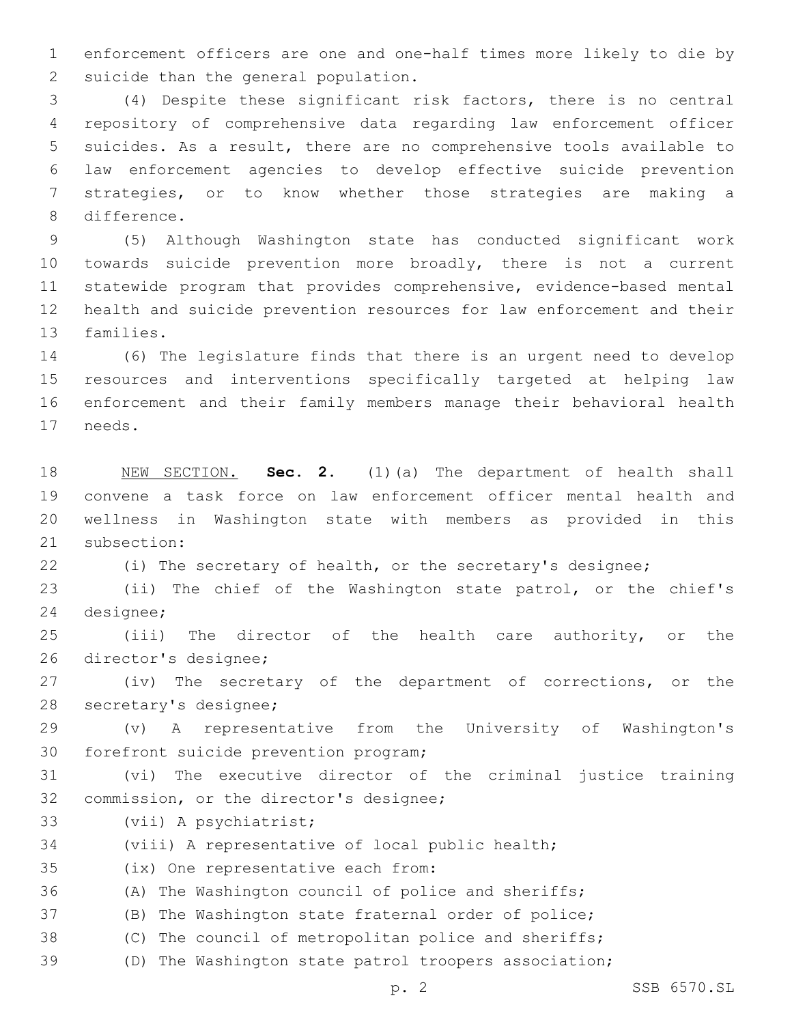enforcement officers are one and one-half times more likely to die by 2 suicide than the general population.

 (4) Despite these significant risk factors, there is no central repository of comprehensive data regarding law enforcement officer suicides. As a result, there are no comprehensive tools available to law enforcement agencies to develop effective suicide prevention strategies, or to know whether those strategies are making a 8 difference.

 (5) Although Washington state has conducted significant work towards suicide prevention more broadly, there is not a current statewide program that provides comprehensive, evidence-based mental health and suicide prevention resources for law enforcement and their 13 families.

 (6) The legislature finds that there is an urgent need to develop resources and interventions specifically targeted at helping law enforcement and their family members manage their behavioral health 17 needs.

 NEW SECTION. **Sec. 2.** (1)(a) The department of health shall convene a task force on law enforcement officer mental health and wellness in Washington state with members as provided in this 21 subsection:

(i) The secretary of health, or the secretary's designee;

 (ii) The chief of the Washington state patrol, or the chief's 24 designee;

 (iii) The director of the health care authority, or the 26 director's designee;

 (iv) The secretary of the department of corrections, or the 28 secretary's designee;

 (v) A representative from the University of Washington's 30 forefront suicide prevention program;

 (vi) The executive director of the criminal justice training 32 commission, or the director's designee;

- 33 (vii) A psychiatrist;
- (viii) A representative of local public health;

35 (ix) One representative each from:

- (A) The Washington council of police and sheriffs;
- (B) The Washington state fraternal order of police;
- (C) The council of metropolitan police and sheriffs;
- (D) The Washington state patrol troopers association;

p. 2 SSB 6570.SL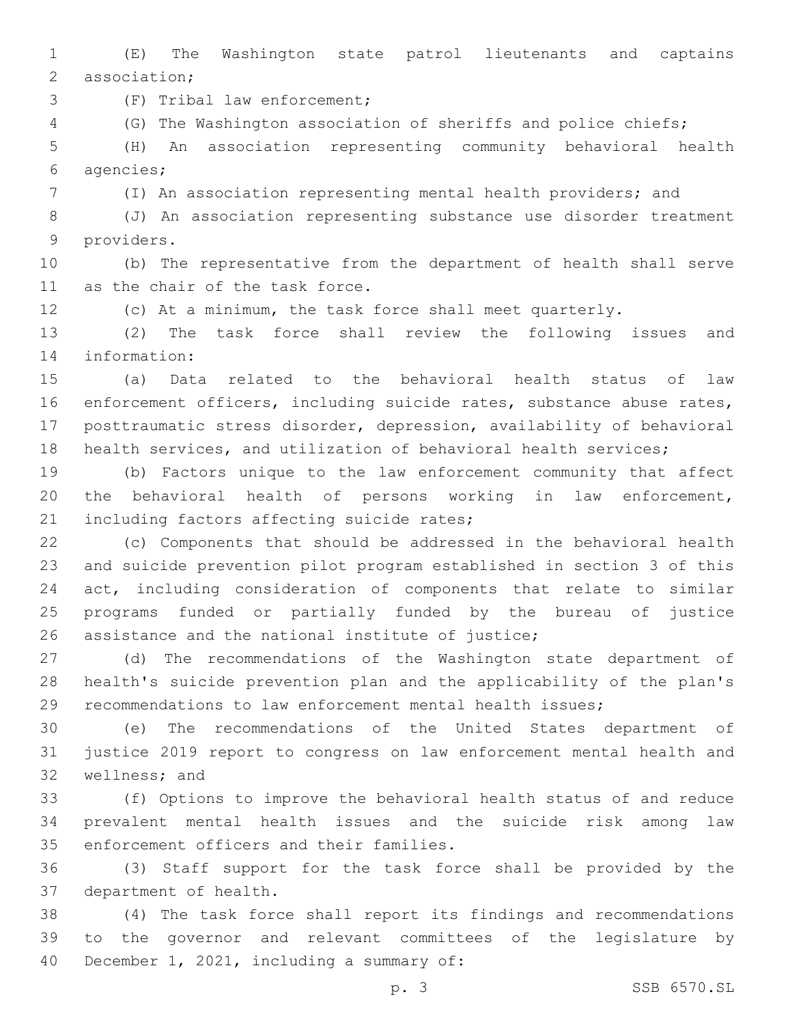(E) The Washington state patrol lieutenants and captains 2 association;

3 (F) Tribal law enforcement;

(G) The Washington association of sheriffs and police chiefs;

 (H) An association representing community behavioral health agencies;6

(I) An association representing mental health providers; and

 (J) An association representing substance use disorder treatment 9 providers.

 (b) The representative from the department of health shall serve 11 as the chair of the task force.

(c) At a minimum, the task force shall meet quarterly.

 (2) The task force shall review the following issues and 14 information:

 (a) Data related to the behavioral health status of law enforcement officers, including suicide rates, substance abuse rates, posttraumatic stress disorder, depression, availability of behavioral 18 health services, and utilization of behavioral health services;

 (b) Factors unique to the law enforcement community that affect the behavioral health of persons working in law enforcement, 21 including factors affecting suicide rates;

 (c) Components that should be addressed in the behavioral health and suicide prevention pilot program established in section 3 of this act, including consideration of components that relate to similar programs funded or partially funded by the bureau of justice 26 assistance and the national institute of justice;

 (d) The recommendations of the Washington state department of health's suicide prevention plan and the applicability of the plan's recommendations to law enforcement mental health issues;

 (e) The recommendations of the United States department of justice 2019 report to congress on law enforcement mental health and 32 wellness; and

 (f) Options to improve the behavioral health status of and reduce prevalent mental health issues and the suicide risk among law 35 enforcement officers and their families.

 (3) Staff support for the task force shall be provided by the 37 department of health.

 (4) The task force shall report its findings and recommendations to the governor and relevant committees of the legislature by 40 December 1, 2021, including a summary of: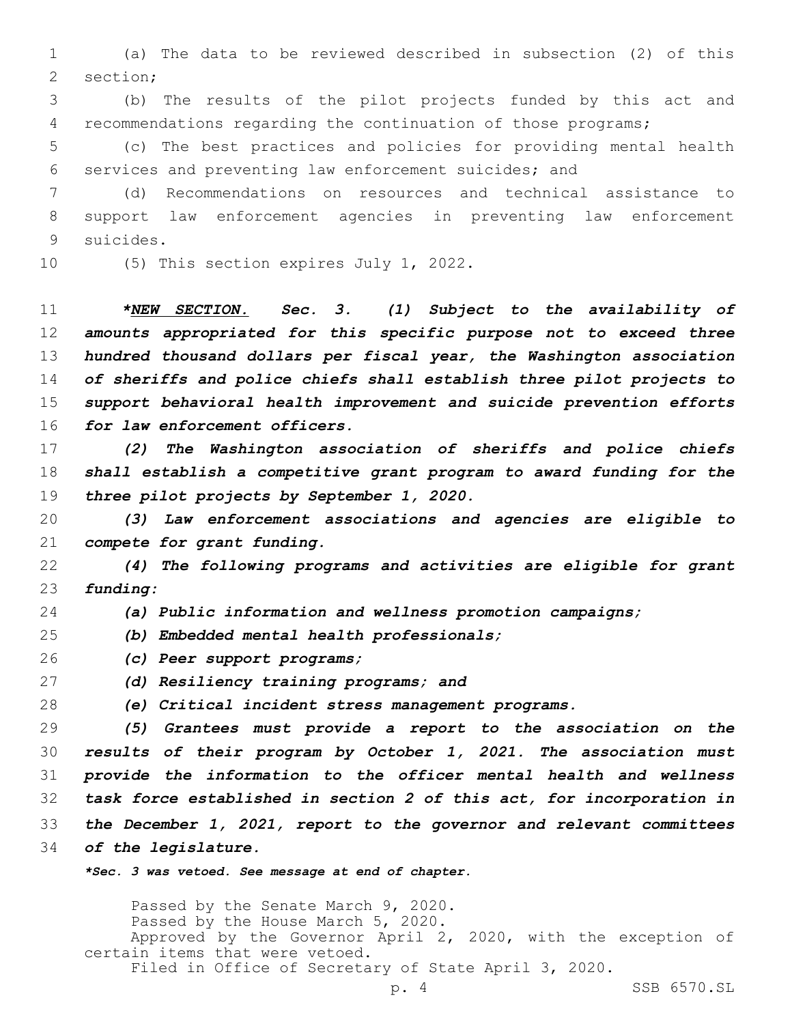(a) The data to be reviewed described in subsection (2) of this 2 section;

 (b) The results of the pilot projects funded by this act and recommendations regarding the continuation of those programs;

 (c) The best practices and policies for providing mental health services and preventing law enforcement suicides; and

 (d) Recommendations on resources and technical assistance to support law enforcement agencies in preventing law enforcement 9 suicides.

10 (5) This section expires July 1, 2022.

 *\*NEW SECTION. Sec. 3. (1) Subject to the availability of amounts appropriated for this specific purpose not to exceed three hundred thousand dollars per fiscal year, the Washington association of sheriffs and police chiefs shall establish three pilot projects to support behavioral health improvement and suicide prevention efforts for law enforcement officers.*

 *(2) The Washington association of sheriffs and police chiefs shall establish a competitive grant program to award funding for the three pilot projects by September 1, 2020.*

 *(3) Law enforcement associations and agencies are eligible to compete for grant funding.*

 *(4) The following programs and activities are eligible for grant funding:*

*(a) Public information and wellness promotion campaigns;*

*(b) Embedded mental health professionals;*

- *(c) Peer support programs;*
- *(d) Resiliency training programs; and*
- *(e) Critical incident stress management programs.*

 *(5) Grantees must provide a report to the association on the results of their program by October 1, 2021. The association must provide the information to the officer mental health and wellness task force established in section 2 of this act, for incorporation in the December 1, 2021, report to the governor and relevant committees of the legislature.*

*\*Sec. 3 was vetoed. See message at end of chapter.*

Passed by the Senate March 9, 2020. Passed by the House March 5, 2020. Approved by the Governor April 2, 2020, with the exception of certain items that were vetoed. Filed in Office of Secretary of State April 3, 2020.

p. 4 SSB 6570.SL